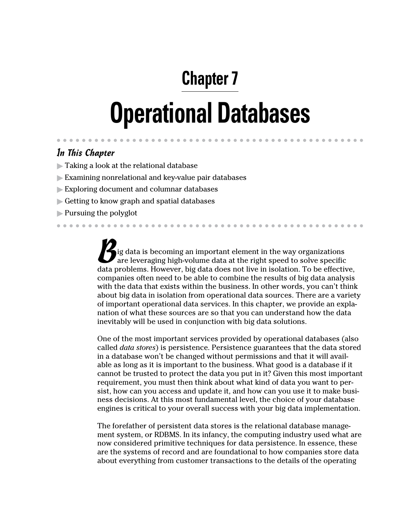# **Chapter 7 Operational Databases**

#### In This Chapter

- $\triangleright$  Taking a look at the relational database
- ▶ Examining nonrelational and key-value pair databases
- ▶ Exploring document and columnar databases
- ▶ Getting to know graph and spatial databases
- ▶ Pursuing the polyglot

 $\mathbf{S}$  ig data is becoming an important element in the way organizations are leveraging high-volume data at the right speed to solve specific data problems. However, big data does not live in isolation. To be effective, companies often need to be able to combine the results of big data analysis with the data that exists within the business. In other words, you can't think about big data in isolation from operational data sources. There are a variety of important operational data services. In this chapter, we provide an explanation of what these sources are so that you can understand how the data inevitably will be used in conjunction with big data solutions.

. . . . . . . . . . . . .

One of the most important services provided by operational databases (also called *data stores*) is persistence. Persistence guarantees that the data stored in a database won't be changed without permissions and that it will available as long as it is important to the business. What good is a database if it cannot be trusted to protect the data you put in it? Given this most important requirement, you must then think about what kind of data you want to persist, how can you access and update it, and how can you use it to make business decisions. At this most fundamental level, the choice of your database engines is critical to your overall success with your big data implementation.

The forefather of persistent data stores is the relational database management system, or RDBMS. In its infancy, the computing industry used what are now considered primitive techniques for data persistence. In essence, these are the systems of record and are foundational to how companies store data about everything from customer transactions to the details of the operating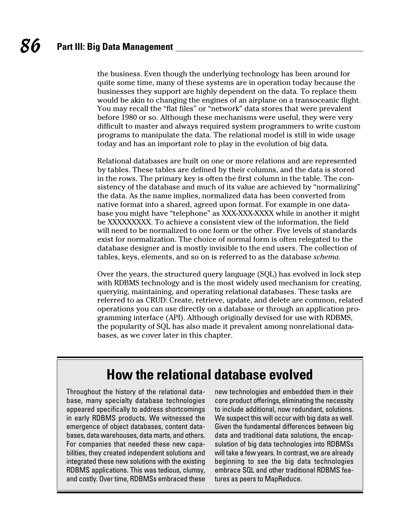the business. Even though the underlying technology has been around for quite some time, many of these systems are in operation today because the businesses they support are highly dependent on the data. To replace them would be akin to changing the engines of an airplane on a transoceanic flight. You may recall the "flat files" or "network" data stores that were prevalent before 1980 or so. Although these mechanisms were useful, they were very difficult to master and always required system programmers to write custom programs to manipulate the data. The relational model is still in wide usage today and has an important role to play in the evolution of big data.

Relational databases are built on one or more relations and are represented by tables. These tables are defined by their columns, and the data is stored in the rows. The primary key is often the first column in the table. The consistency of the database and much of its value are achieved by "normalizing" the data. As the name implies, normalized data has been converted from native format into a shared, agreed upon format. For example in one database you might have "telephone" as XXX-XXX-XXXX while in another it might be XXXXXXXXX. To achieve a consistent view of the information, the field will need to be normalized to one form or the other. Five levels of standards exist for normalization. The choice of normal form is often relegated to the database designer and is mostly invisible to the end users. The collection of tables, keys, elements, and so on is referred to as the database *schema.*

Over the years, the structured query language (SQL) has evolved in lock step with RDBMS technology and is the most widely used mechanism for creating, querying, maintaining, and operating relational databases. These tasks are referred to as CRUD: Create, retrieve, update, and delete are common, related operations you can use directly on a database or through an application programming interface (API). Although originally devised for use with RDBMS, the popularity of SQL has also made it prevalent among nonrelational databases, as we cover later in this chapter.

#### **How the relational database evolved**

Throughout the history of the relational database, many specialty database technologies appeared specifically to address shortcomings in early RDBMS products. We witnessed the emergence of object databases, content databases, data warehouses, data marts, and others. For companies that needed these new capabilities, they created independent solutions and integrated these new solutions with the existing RDBMS applications. This was tedious, clumsy, and costly. Over time, RDBMSs embraced these

new technologies and embedded them in their core product offerings, eliminating the necessity to include additional, now redundant, solutions. We suspect this will occur with big data as well. Given the fundamental differences between big data and traditional data solutions, the encapsulation of big data technologies into RDBMSs will take a few years. In contrast, we are already beginning to see the big data technologies embrace SQL and other traditional RDBMS features as peers to MapReduce.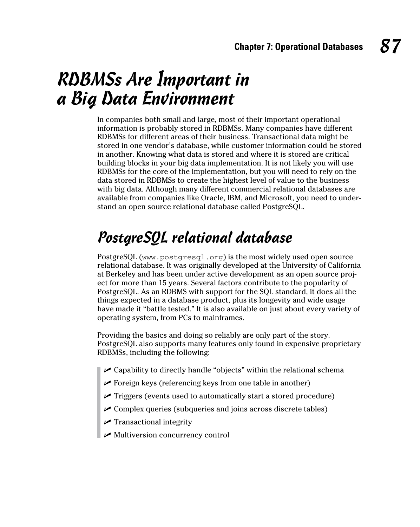# RDBMSs Are Important in a Big Data Environment

In companies both small and large, most of their important operational information is probably stored in RDBMSs. Many companies have different RDBMSs for different areas of their business. Transactional data might be stored in one vendor's database, while customer information could be stored in another. Knowing what data is stored and where it is stored are critical building blocks in your big data implementation. It is not likely you will use RDBMSs for the core of the implementation, but you will need to rely on the data stored in RDBMSs to create the highest level of value to the business with big data. Although many different commercial relational databases are available from companies like Oracle, IBM, and Microsoft, you need to understand an open source relational database called PostgreSQL.

# PostgreSQL relational database

PostgreSQL ([www.postgresql.org](http://www.postgresql.org)) is the most widely used open source relational database. It was originally developed at the University of California at Berkeley and has been under active development as an open source project for more than 15 years. Several factors contribute to the popularity of PostgreSQL. As an RDBMS with support for the SQL standard, it does all the things expected in a database product, plus its longevity and wide usage have made it "battle tested." It is also available on just about every variety of operating system, from PCs to mainframes.

Providing the basics and doing so reliably are only part of the story. PostgreSQL also supports many features only found in expensive proprietary RDBMSs, including the following:

- $\triangleright$  Capability to directly handle "objects" within the relational schema
- $\triangleright$  Foreign keys (referencing keys from one table in another)
- $\triangleright$  Triggers (events used to automatically start a stored procedure)
- $\triangleright$  Complex queries (subqueries and joins across discrete tables)
- $\blacktriangleright$  Transactional integrity
- $\blacktriangleright$  Multiversion concurrency control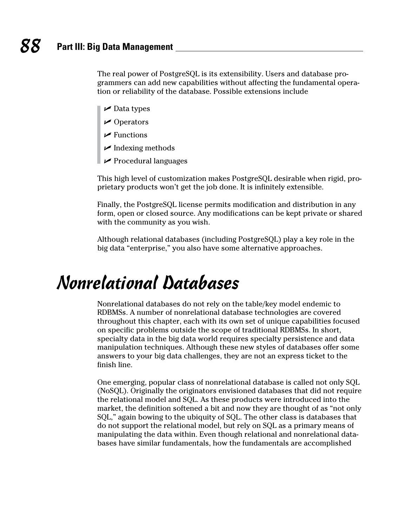The real power of PostgreSQL is its extensibility. Users and database programmers can add new capabilities without affecting the fundamental operation or reliability of the database. Possible extensions include

- $\blacktriangleright$  Data types
- $\triangleright$  Operators
- $\blacktriangleright$  Functions
- $\blacktriangleright$  Indexing methods
- $\triangleright$  Procedural languages

This high level of customization makes PostgreSQL desirable when rigid, proprietary products won't get the job done. It is infinitely extensible.

Finally, the PostgreSQL license permits modification and distribution in any form, open or closed source. Any modifications can be kept private or shared with the community as you wish.

Although relational databases (including PostgreSQL) play a key role in the big data "enterprise," you also have some alternative approaches.

# Nonrelational Databases

Nonrelational databases do not rely on the table/key model endemic to RDBMSs. A number of nonrelational database technologies are covered throughout this chapter, each with its own set of unique capabilities focused on specific problems outside the scope of traditional RDBMSs. In short, specialty data in the big data world requires specialty persistence and data manipulation techniques. Although these new styles of databases offer some answers to your big data challenges, they are not an express ticket to the finish line.

One emerging, popular class of nonrelational database is called not only SQL (NoSQL). Originally the originators envisioned databases that did not require the relational model and SQL. As these products were introduced into the market, the definition softened a bit and now they are thought of as "not only SQL," again bowing to the ubiquity of SQL. The other class is databases that do not support the relational model, but rely on SQL as a primary means of manipulating the data within. Even though relational and nonrelational databases have similar fundamentals, how the fundamentals are accomplished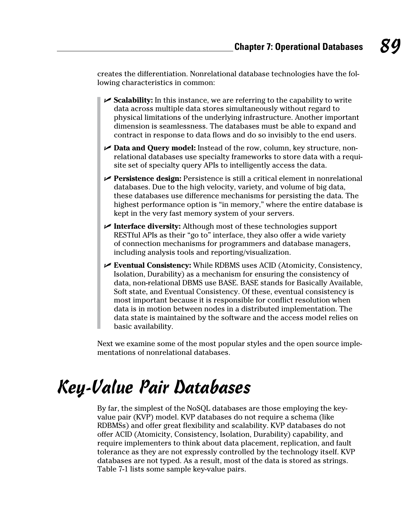creates the differentiation. Nonrelational database technologies have the following characteristics in common:

- ✓ **Scalability:** In this instance, we are referring to the capability to write data across multiple data stores simultaneously without regard to physical limitations of the underlying infrastructure. Another important dimension is seamlessness. The databases must be able to expand and contract in response to data flows and do so invisibly to the end users.
- ✓ **Data and Query model:** Instead of the row, column, key structure, nonrelational databases use specialty frameworks to store data with a requisite set of specialty query APIs to intelligently access the data.
- ✓ **Persistence design:** Persistence is still a critical element in nonrelational databases. Due to the high velocity, variety, and volume of big data, these databases use difference mechanisms for persisting the data. The highest performance option is "in memory," where the entire database is kept in the very fast memory system of your servers.
- ✓ **Interface diversity:** Although most of these technologies support RESTful APIs as their "go to" interface, they also offer a wide variety of connection mechanisms for programmers and database managers, including analysis tools and reporting/visualization.
- ✓ **Eventual Consistency:** While RDBMS uses ACID (Atomicity, Consistency, Isolation, Durability) as a mechanism for ensuring the consistency of data, non-relational DBMS use BASE. BASE stands for Basically Available, Soft state, and Eventual Consistency. Of these, eventual consistency is most important because it is responsible for conflict resolution when data is in motion between nodes in a distributed implementation. The data state is maintained by the software and the access model relies on basic availability.

Next we examine some of the most popular styles and the open source implementations of nonrelational databases.

# Key-Value Pair Databases

By far, the simplest of the NoSQL databases are those employing the keyvalue pair (KVP) model. KVP databases do not require a schema (like RDBMSs) and offer great flexibility and scalability. KVP databases do not offer ACID (Atomicity, Consistency, Isolation, Durability) capability, and require implementers to think about data placement, replication, and fault tolerance as they are not expressly controlled by the technology itself. KVP databases are not typed. As a result, most of the data is stored as strings. Table 7-1 lists some sample key-value pairs.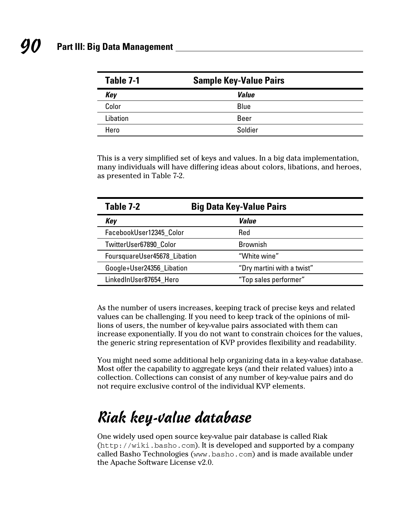| Table 7-1 | <b>Sample Key-Value Pairs</b> |  |
|-----------|-------------------------------|--|
| Key       | <b>Value</b>                  |  |
| Color     | Blue                          |  |
| Libation  | Beer                          |  |
| Hero      | Soldier                       |  |
|           |                               |  |

This is a very simplified set of keys and values. In a big data implementation, many individuals will have differing ideas about colors, libations, and heroes, as presented in Table 7-2.

| Table 7-2                    | <b>Big Data Key-Value Pairs</b> |
|------------------------------|---------------------------------|
| Kev                          | Value                           |
| FacebookUser12345 Color      | Red                             |
| TwitterUser67890 Color       | <b>Brownish</b>                 |
| FoursquareUser45678 Libation | "White wine"                    |
| Google+User24356 Libation    | "Dry martini with a twist"      |
| LinkedInUser87654 Hero       | "Top sales performer"           |

As the number of users increases, keeping track of precise keys and related values can be challenging. If you need to keep track of the opinions of millions of users, the number of key-value pairs associated with them can increase exponentially. If you do not want to constrain choices for the values, the generic string representation of KVP provides flexibility and readability.

You might need some additional help organizing data in a key-value database. Most offer the capability to aggregate keys (and their related values) into a collection. Collections can consist of any number of key-value pairs and do not require exclusive control of the individual KVP elements.

#### Riak key-value database

One widely used open source key-value pair database is called Riak ([http://wiki.basho.com](http://wiki.basho.com/)). It is developed and supported by a company called Basho Technologies ([www.basho.com](http://www.basho.com)) and is made available under the Apache Software License v2.0.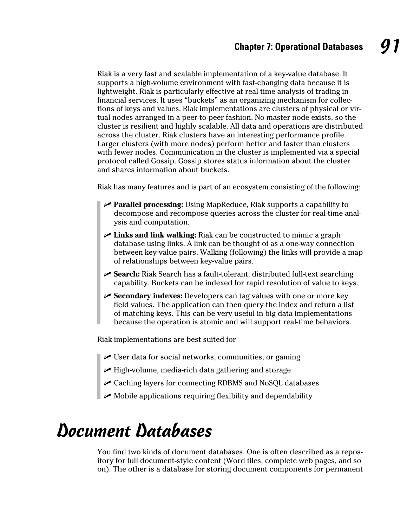Riak is a very fast and scalable implementation of a key-value database. It supports a high-volume environment with fast-changing data because it is lightweight. Riak is particularly effective at real-time analysis of trading in financial services. It uses "buckets" as an organizing mechanism for collections of keys and values. Riak implementations are clusters of physical or virtual nodes arranged in a peer-to-peer fashion. No master node exists, so the cluster is resilient and highly scalable. All data and operations are distributed across the cluster. Riak clusters have an interesting performance profile. Larger clusters (with more nodes) perform better and faster than clusters with fewer nodes. Communication in the cluster is implemented via a special protocol called Gossip. Gossip stores status information about the cluster and shares information about buckets.

Riak has many features and is part of an ecosystem consisting of the following:

- ✓ **Parallel processing:** Using MapReduce, Riak supports a capability to decompose and recompose queries across the cluster for real-time analysis and computation.
- ✓ **Links and link walking:** Riak can be constructed to mimic a graph database using links. A link can be thought of as a one-way connection between key-value pairs. Walking (following) the links will provide a map of relationships between key-value pairs.
- ✓ **Search:** Riak Search has a fault-tolerant, distributed full-text searching capability. Buckets can be indexed for rapid resolution of value to keys.
- ✓ **Secondary indexes:** Developers can tag values with one or more key field values. The application can then query the index and return a list of matching keys. This can be very useful in big data implementations because the operation is atomic and will support real-time behaviors.

Riak implementations are best suited for

- $\vee$  User data for social networks, communities, or gaming
- ✓ High-volume, media-rich data gathering and storage
- ✓ Caching layers for connecting RDBMS and NoSQL databases
- $\triangleright$  Mobile applications requiring flexibility and dependability

# Document Databases

You find two kinds of document databases. One is often described as a repository for full document-style content (Word files, complete web pages, and so on). The other is a database for storing document components for permanent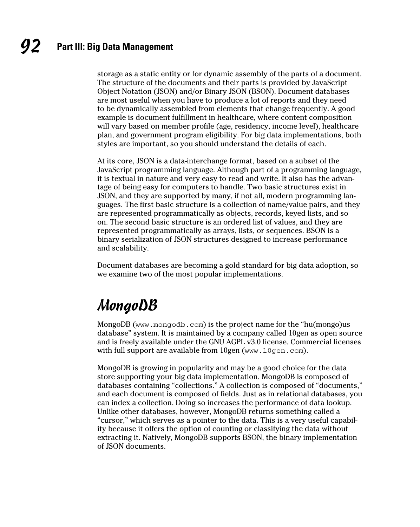storage as a static entity or for dynamic assembly of the parts of a document. The structure of the documents and their parts is provided by JavaScript Object Notation (JSON) and/or Binary JSON (BSON). Document databases are most useful when you have to produce a lot of reports and they need to be dynamically assembled from elements that change frequently. A good example is document fulfillment in healthcare, where content composition will vary based on member profile (age, residency, income level), healthcare plan, and government program eligibility. For big data implementations, both styles are important, so you should understand the details of each.

At its core, JSON is a data-interchange format, based on a subset of the JavaScript programming language. Although part of a programming language, it is textual in nature and very easy to read and write. It also has the advantage of being easy for computers to handle. Two basic structures exist in JSON, and they are supported by many, if not all, modern programming languages. The first basic structure is a collection of name/value pairs, and they are represented programmatically as objects, records, keyed lists, and so on. The second basic structure is an ordered list of values, and they are represented programmatically as arrays, lists, or sequences. BSON is a binary serialization of JSON structures designed to increase performance and scalability.

Document databases are becoming a gold standard for big data adoption, so we examine two of the most popular implementations.

#### MongoDB

MongoDB ([www.mongodb.com](http://www.mongodb.com/)) is the project name for the "hu(mongo)us database" system. It is maintained by a company called 10gen as open source and is freely available under the GNU AGPL v3.0 license. Commercial licenses with full support are available from 10gen ([www.10gen.com](http://www.10gen.com)).

MongoDB is growing in popularity and may be a good choice for the data store supporting your big data implementation. MongoDB is composed of databases containing "collections." A collection is composed of "documents," and each document is composed of fields. Just as in relational databases, you can index a collection. Doing so increases the performance of data lookup. Unlike other databases, however, MongoDB returns something called a "cursor," which serves as a pointer to the data. This is a very useful capability because it offers the option of counting or classifying the data without extracting it. Natively, MongoDB supports BSON, the binary implementation of JSON documents.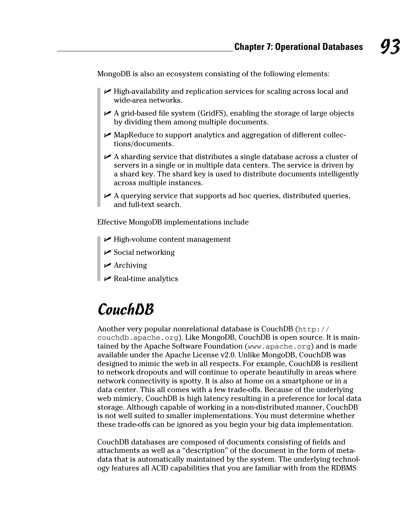MongoDB is also an ecosystem consisting of the following elements:

- ✓ High-availability and replication services for scaling across local and wide-area networks.
- $\blacktriangleright$  A grid-based file system (GridFS), enabling the storage of large objects by dividing them among multiple documents.
- $\blacktriangleright$  MapReduce to support analytics and aggregation of different collections/documents.
- $\triangleright$  A sharding service that distributes a single database across a cluster of servers in a single or in multiple data centers. The service is driven by a shard key. The shard key is used to distribute documents intelligently across multiple instances.
- $\angle$  A querying service that supports ad hoc queries, distributed queries, and full-text search.

Effective MongoDB implementations include

- $\blacktriangleright$  High-volume content management
- $\blacktriangleright$  Social networking
- $\blacktriangleright$  Archiving
- $\blacktriangleright$  Real-time analytics

#### CouchDB

Another very popular nonrelational database is CouchDB ([http://](http://couchdb.apache.org/) [couchdb.apache.org](http://couchdb.apache.org/)). Like MongoDB, CouchDB is open source. It is maintained by the Apache Software Foundation ([www.apache.org](http://www.apache.org)) and is made available under the Apache License v2.0. Unlike MongoDB, CouchDB was designed to mimic the web in all respects. For example, CouchDB is resilient to network dropouts and will continue to operate beautifully in areas where network connectivity is spotty. It is also at home on a smartphone or in a data center. This all comes with a few trade-offs. Because of the underlying web mimicry, CouchDB is high latency resulting in a preference for local data storage. Although capable of working in a non-distributed manner, CouchDB is not well suited to smaller implementations. You must determine whether these trade-offs can be ignored as you begin your big data implementation.

CouchDB databases are composed of documents consisting of fields and attachments as well as a "description" of the document in the form of metadata that is automatically maintained by the system. The underlying technology features all ACID capabilities that you are familiar with from the RDBMS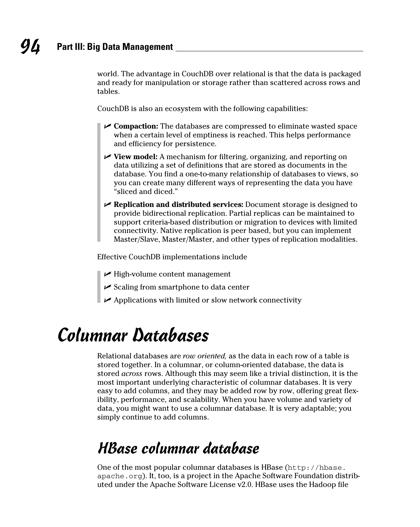world. The advantage in CouchDB over relational is that the data is packaged and ready for manipulation or storage rather than scattered across rows and tables.

CouchDB is also an ecosystem with the following capabilities:

- ✓ **Compaction:** The databases are compressed to eliminate wasted space when a certain level of emptiness is reached. This helps performance and efficiency for persistence.
- ✓ **View model:** A mechanism for filtering, organizing, and reporting on data utilizing a set of definitions that are stored as documents in the database. You find a one-to-many relationship of databases to views, so you can create many different ways of representing the data you have "sliced and diced."
- ✓ **Replication and distributed services:** Document storage is designed to provide bidirectional replication. Partial replicas can be maintained to support criteria-based distribution or migration to devices with limited connectivity. Native replication is peer based, but you can implement Master/Slave, Master/Master, and other types of replication modalities.

Effective CouchDB implementations include

- $\blacktriangleright$  High-volume content management
- $\triangleright$  Scaling from smartphone to data center
- $\triangleright$  Applications with limited or slow network connectivity

# Columnar Databases

Relational databases are *row oriented,* as the data in each row of a table is stored together. In a columnar, or column-oriented database, the data is stored *across* rows. Although this may seem like a trivial distinction, it is the most important underlying characteristic of columnar databases. It is very easy to add columns, and they may be added row by row, offering great flexibility, performance, and scalability. When you have volume and variety of data, you might want to use a columnar database. It is very adaptable; you simply continue to add columns.

#### HBase columnar database

One of the most popular columnar databases is HBase ([http://hbase.](http://hbase.apache.org/) [apache.org](http://hbase.apache.org/)). It, too, is a project in the Apache Software Foundation distributed under the Apache Software License v2.0. HBase uses the Hadoop file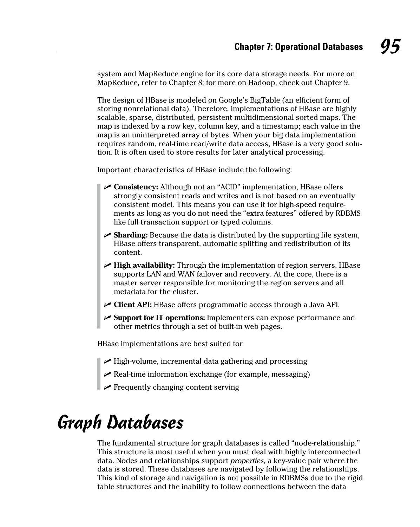system and MapReduce engine for its core data storage needs. For more on MapReduce, refer to Chapter 8; for more on Hadoop, check out Chapter 9.

The design of HBase is modeled on Google's BigTable (an efficient form of storing nonrelational data). Therefore, implementations of HBase are highly scalable, sparse, distributed, persistent multidimensional sorted maps. The map is indexed by a row key, column key, and a timestamp; each value in the map is an uninterpreted array of bytes. When your big data implementation requires random, real-time read/write data access, HBase is a very good solution. It is often used to store results for later analytical processing.

Important characteristics of HBase include the following:

- ✓ **Consistency:** Although not an "ACID" implementation, HBase offers strongly consistent reads and writes and is not based on an eventually consistent model. This means you can use it for high-speed requirements as long as you do not need the "extra features" offered by RDBMS like full transaction support or typed columns.
- ✓ **Sharding:** Because the data is distributed by the supporting file system, HBase offers transparent, automatic splitting and redistribution of its content.
- ✓ **High availability:** Through the implementation of region servers, HBase supports LAN and WAN failover and recovery. At the core, there is a master server responsible for monitoring the region servers and all metadata for the cluster.
- ✓ **Client API:** HBase offers programmatic access through a Java API.
- ✓ **Support for IT operations:** Implementers can expose performance and other metrics through a set of built-in web pages.

HBase implementations are best suited for

- $\blacktriangleright$  High-volume, incremental data gathering and processing
- $\blacktriangleright$  Real-time information exchange (for example, messaging)
- $\triangleright$  Frequently changing content serving

# Graph Databases

The fundamental structure for graph databases is called "node-relationship." This structure is most useful when you must deal with highly interconnected data. Nodes and relationships support *properties,* a key-value pair where the data is stored. These databases are navigated by following the relationships. This kind of storage and navigation is not possible in RDBMSs due to the rigid table structures and the inability to follow connections between the data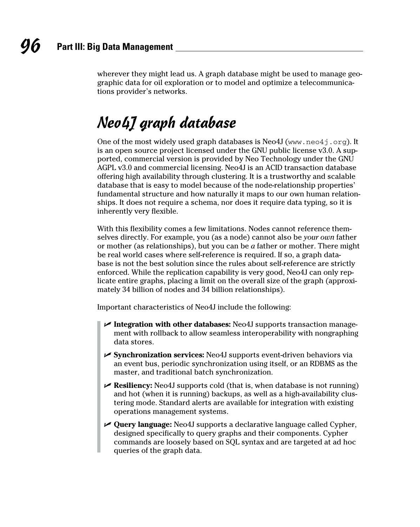wherever they might lead us. A graph database might be used to manage geographic data for oil exploration or to model and optimize a telecommunications provider's networks.

### Neo4J graph database

One of the most widely used graph databases is Neo4J ([www.neo4j.org](http://www.neo4j.org)). It is an open source project licensed under the GNU public license v3.0. A supported, commercial version is provided by Neo Technology under the GNU AGPL v3.0 and commercial licensing. Neo4J is an ACID transaction database offering high availability through clustering. It is a trustworthy and scalable database that is easy to model because of the node-relationship properties' fundamental structure and how naturally it maps to our own human relationships. It does not require a schema, nor does it require data typing, so it is inherently very flexible.

With this flexibility comes a few limitations. Nodes cannot reference themselves directly. For example, you (as a node) cannot also be *your own* father or mother (as relationships), but you can be *a* father or mother. There might be real world cases where self-reference is required. If so, a graph database is not the best solution since the rules about self-reference are strictly enforced. While the replication capability is very good, Neo4J can only replicate entire graphs, placing a limit on the overall size of the graph (approximately 34 billion of nodes and 34 billion relationships).

Important characteristics of Neo4J include the following:

- ✓ **Integration with other databases:** Neo4J supports transaction management with rollback to allow seamless interoperability with nongraphing data stores.
- ✓ **Synchronization services:** Neo4J supports event-driven behaviors via an event bus, periodic synchronization using itself, or an RDBMS as the master, and traditional batch synchronization.
- ✓ **Resiliency:** Neo4J supports cold (that is, when database is not running) and hot (when it is running) backups, as well as a high-availability clustering mode. Standard alerts are available for integration with existing operations management systems.
- ✓ **Query language:** Neo4J supports a declarative language called Cypher, designed specifically to query graphs and their components. Cypher commands are loosely based on SQL syntax and are targeted at ad hoc queries of the graph data.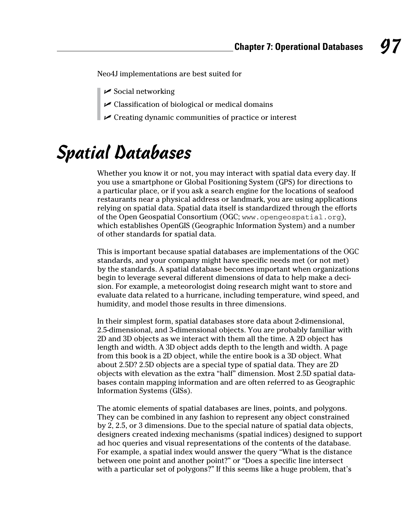Neo4J implementations are best suited for

- $\triangleright$  Social networking
- $\triangleright$  Classification of biological or medical domains
- $\triangleright$  Creating dynamic communities of practice or interest

# Spatial Databases

Whether you know it or not, you may interact with spatial data every day. If you use a smartphone or Global Positioning System (GPS) for directions to a particular place, or if you ask a search engine for the locations of seafood restaurants near a physical address or landmark, you are using applications relying on spatial data. Spatial data itself is standardized through the efforts of the Open Geospatial Consortium (OGC; [www.opengeospatial.org](http://www.opengeospatial.org/)), which establishes OpenGIS (Geographic Information System) and a number of other standards for spatial data.

This is important because spatial databases are implementations of the OGC standards, and your company might have specific needs met (or not met) by the standards. A spatial database becomes important when organizations begin to leverage several different dimensions of data to help make a decision. For example, a meteorologist doing research might want to store and evaluate data related to a hurricane, including temperature, wind speed, and humidity, and model those results in three dimensions.

In their simplest form, spatial databases store data about 2-dimensional, 2.5-dimensional, and 3-dimensional objects. You are probably familiar with 2D and 3D objects as we interact with them all the time. A 2D object has length and width. A 3D object adds depth to the length and width. A page from this book is a 2D object, while the entire book is a 3D object. What about 2.5D? 2.5D objects are a special type of spatial data. They are 2D objects with elevation as the extra "half" dimension. Most 2.5D spatial databases contain mapping information and are often referred to as Geographic Information Systems (GISs).

The atomic elements of spatial databases are lines, points, and polygons. They can be combined in any fashion to represent any object constrained by 2, 2.5, or 3 dimensions. Due to the special nature of spatial data objects, designers created indexing mechanisms (spatial indices) designed to support ad hoc queries and visual representations of the contents of the database. For example, a spatial index would answer the query "What is the distance between one point and another point?" or "Does a specific line intersect with a particular set of polygons?" If this seems like a huge problem, that's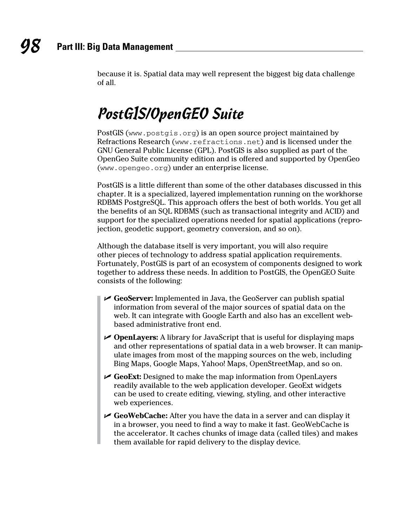because it is. Spatial data may well represent the biggest big data challenge of all.

#### PostGIS/OpenGEO Suite

PostGIS ([www.postgis.org](http://www.postgis.org)) is an open source project maintained by Refractions Research ([www.refractions.net](http://www.refractions.net)) and is licensed under the GNU General Public License (GPL). PostGIS is also supplied as part of the OpenGeo Suite community edition and is offered and supported by OpenGeo ([www.opengeo.org](http://www.opengeo.org)) under an enterprise license.

PostGIS is a little different than some of the other databases discussed in this chapter. It is a specialized, layered implementation running on the workhorse RDBMS PostgreSQL. This approach offers the best of both worlds. You get all the benefits of an SQL RDBMS (such as transactional integrity and ACID) and support for the specialized operations needed for spatial applications (reprojection, geodetic support, geometry conversion, and so on).

Although the database itself is very important, you will also require other pieces of technology to address spatial application requirements. Fortunately, PostGIS is part of an ecosystem of components designed to work together to address these needs. In addition to PostGIS, the OpenGEO Suite consists of the following:

- ✓ **GeoServer:** Implemented in Java, the GeoServer can publish spatial information from several of the major sources of spatial data on the web. It can integrate with Google Earth and also has an excellent webbased administrative front end.
- ✓ **OpenLayers:** A library for JavaScript that is useful for displaying maps and other representations of spatial data in a web browser. It can manipulate images from most of the mapping sources on the web, including Bing Maps, Google Maps, Yahoo! Maps, OpenStreetMap, and so on.
- ✓ **GeoExt:** Designed to make the map information from OpenLayers readily available to the web application developer. GeoExt widgets can be used to create editing, viewing, styling, and other interactive web experiences.
- ✓ **GeoWebCache:** After you have the data in a server and can display it in a browser, you need to find a way to make it fast. GeoWebCache is the accelerator. It caches chunks of image data (called tiles) and makes them available for rapid delivery to the display device.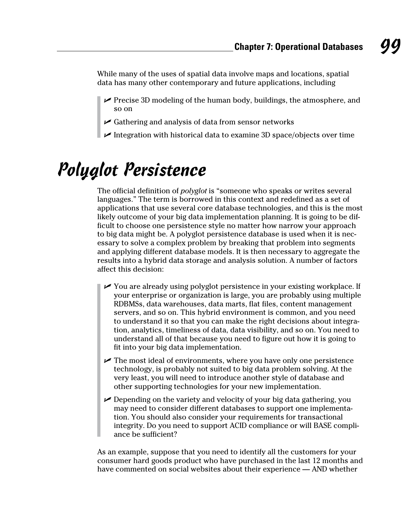While many of the uses of spatial data involve maps and locations, spatial data has many other contemporary and future applications, including

- $\triangleright$  Precise 3D modeling of the human body, buildings, the atmosphere, and so on
- $\triangleright$  Gathering and analysis of data from sensor networks
- $\blacktriangleright$  Integration with historical data to examine 3D space/objects over time

# Polyglot Persistence

The official definition of *polyglot* is "someone who speaks or writes several languages." The term is borrowed in this context and redefined as a set of applications that use several core database technologies, and this is the most likely outcome of your big data implementation planning. It is going to be difficult to choose one persistence style no matter how narrow your approach to big data might be. A polyglot persistence database is used when it is necessary to solve a complex problem by breaking that problem into segments and applying different database models. It is then necessary to aggregate the results into a hybrid data storage and analysis solution. A number of factors affect this decision:

- ✓ You are already using polyglot persistence in your existing workplace. If your enterprise or organization is large, you are probably using multiple RDBMSs, data warehouses, data marts, flat files, content management servers, and so on. This hybrid environment is common, and you need to understand it so that you can make the right decisions about integration, analytics, timeliness of data, data visibility, and so on. You need to understand all of that because you need to figure out how it is going to fit into your big data implementation.
- $\blacktriangleright$  The most ideal of environments, where you have only one persistence technology, is probably not suited to big data problem solving. At the very least, you will need to introduce another style of database and other supporting technologies for your new implementation.
- $\triangleright$  Depending on the variety and velocity of your big data gathering, you may need to consider different databases to support one implementation. You should also consider your requirements for transactional integrity. Do you need to support ACID compliance or will BASE compliance be sufficient?

As an example, suppose that you need to identify all the customers for your consumer hard goods product who have purchased in the last 12 months and have commented on social websites about their experience — AND whether